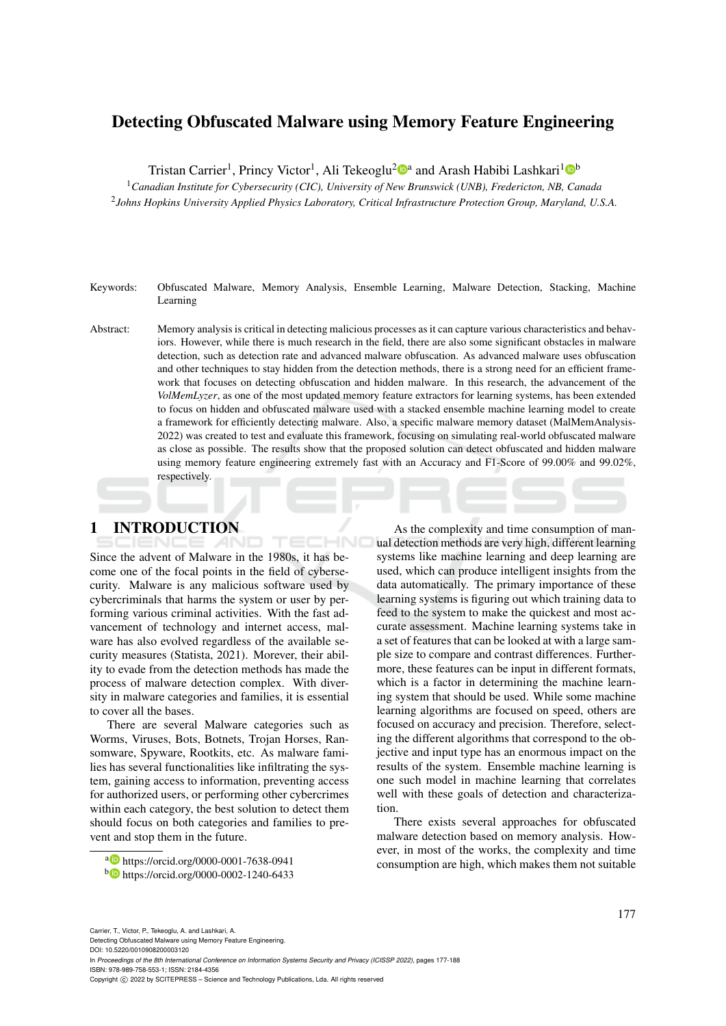# Detecting Obfuscated Malware using Memory Feature Engineering

Tristan Carrier<sup>1</sup>, Princy Victor<sup>1</sup>, Ali Tekeoglu<sup>2</sup><sup>®</sup> and Arash Habibi Lashkari<sup>1</sup><sup>®</sup>

<sup>1</sup>*Canadian Institute for Cybersecurity (CIC), University of New Brunswick (UNB), Fredericton, NB, Canada* 2 *Johns Hopkins University Applied Physics Laboratory, Critical Infrastructure Protection Group, Maryland, U.S.A.*

### Keywords: Obfuscated Malware, Memory Analysis, Ensemble Learning, Malware Detection, Stacking, Machine Learning

Abstract: Memory analysis is critical in detecting malicious processes as it can capture various characteristics and behaviors. However, while there is much research in the field, there are also some significant obstacles in malware detection, such as detection rate and advanced malware obfuscation. As advanced malware uses obfuscation and other techniques to stay hidden from the detection methods, there is a strong need for an efficient framework that focuses on detecting obfuscation and hidden malware. In this research, the advancement of the *VolMemLyzer*, as one of the most updated memory feature extractors for learning systems, has been extended to focus on hidden and obfuscated malware used with a stacked ensemble machine learning model to create a framework for efficiently detecting malware. Also, a specific malware memory dataset (MalMemAnalysis-2022) was created to test and evaluate this framework, focusing on simulating real-world obfuscated malware as close as possible. The results show that the proposed solution can detect obfuscated and hidden malware using memory feature engineering extremely fast with an Accuracy and F1-Score of 99.00% and 99.02%, respectively.

HNC

# 1 INTRODUCTION

Since the advent of Malware in the 1980s, it has become one of the focal points in the field of cybersecurity. Malware is any malicious software used by cybercriminals that harms the system or user by performing various criminal activities. With the fast advancement of technology and internet access, malware has also evolved regardless of the available security measures (Statista, 2021). Morever, their ability to evade from the detection methods has made the process of malware detection complex. With diversity in malware categories and families, it is essential to cover all the bases.

There are several Malware categories such as Worms, Viruses, Bots, Botnets, Trojan Horses, Ransomware, Spyware, Rootkits, etc. As malware families has several functionalities like infiltrating the system, gaining access to information, preventing access for authorized users, or performing other cybercrimes within each category, the best solution to detect them should focus on both categories and families to prevent and stop them in the future.

As the complexity and time consumption of manual detection methods are very high, different learning systems like machine learning and deep learning are used, which can produce intelligent insights from the data automatically. The primary importance of these learning systems is figuring out which training data to feed to the system to make the quickest and most accurate assessment. Machine learning systems take in a set of features that can be looked at with a large sample size to compare and contrast differences. Furthermore, these features can be input in different formats, which is a factor in determining the machine learning system that should be used. While some machine learning algorithms are focused on speed, others are focused on accuracy and precision. Therefore, selecting the different algorithms that correspond to the objective and input type has an enormous impact on the results of the system. Ensemble machine learning is one such model in machine learning that correlates well with these goals of detection and characterization.

There exists several approaches for obfuscated malware detection based on memory analysis. However, in most of the works, the complexity and time consumption are high, which makes them not suitable

<sup>a</sup> https://orcid.org/0000-0001-7638-0941

Carrier, T., Victor, P., Tekeoglu, A. and Lashkari, A. Detecting Obfuscated Malware using Memory Feature Engineering. DOI: 10.5220/0010908200003120 In *Proceedings of the 8th International Conference on Information Systems Security and Privacy (ICISSP 2022)*, pages 177-188 ISBN: 978-989-758-553-1; ISSN: 2184-4356 Copyright (C) 2022 by SCITEPRESS - Science and Technology Publications, Lda. All rights reserved

<sup>b</sup> https://orcid.org/0000-0002-1240-6433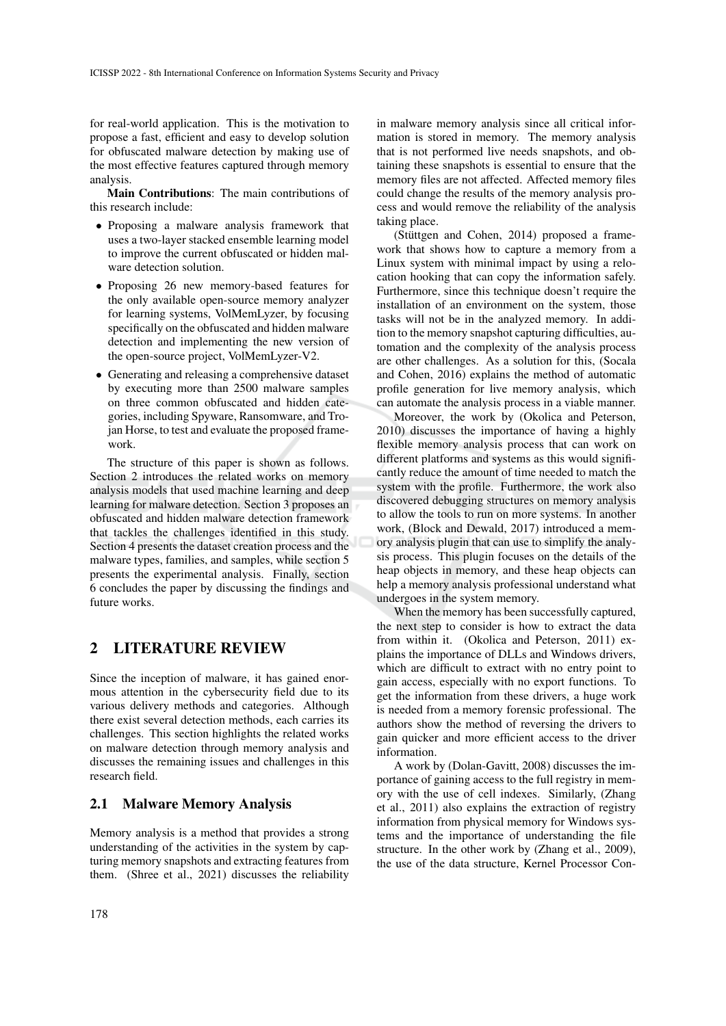for real-world application. This is the motivation to propose a fast, efficient and easy to develop solution for obfuscated malware detection by making use of the most effective features captured through memory analysis.

Main Contributions: The main contributions of this research include:

- Proposing a malware analysis framework that uses a two-layer stacked ensemble learning model to improve the current obfuscated or hidden malware detection solution.
- Proposing 26 new memory-based features for the only available open-source memory analyzer for learning systems, VolMemLyzer, by focusing specifically on the obfuscated and hidden malware detection and implementing the new version of the open-source project, VolMemLyzer-V2.
- Generating and releasing a comprehensive dataset by executing more than 2500 malware samples on three common obfuscated and hidden categories, including Spyware, Ransomware, and Trojan Horse, to test and evaluate the proposed framework.

The structure of this paper is shown as follows. Section 2 introduces the related works on memory analysis models that used machine learning and deep learning for malware detection. Section 3 proposes an obfuscated and hidden malware detection framework that tackles the challenges identified in this study. Section 4 presents the dataset creation process and the malware types, families, and samples, while section 5 presents the experimental analysis. Finally, section 6 concludes the paper by discussing the findings and future works.

# 2 LITERATURE REVIEW

Since the inception of malware, it has gained enormous attention in the cybersecurity field due to its various delivery methods and categories. Although there exist several detection methods, each carries its challenges. This section highlights the related works on malware detection through memory analysis and discusses the remaining issues and challenges in this research field.

### 2.1 Malware Memory Analysis

Memory analysis is a method that provides a strong understanding of the activities in the system by capturing memory snapshots and extracting features from them. (Shree et al., 2021) discusses the reliability

in malware memory analysis since all critical information is stored in memory. The memory analysis that is not performed live needs snapshots, and obtaining these snapshots is essential to ensure that the memory files are not affected. Affected memory files could change the results of the memory analysis process and would remove the reliability of the analysis taking place.

(Stüttgen and Cohen,  $2014$ ) proposed a framework that shows how to capture a memory from a Linux system with minimal impact by using a relocation hooking that can copy the information safely. Furthermore, since this technique doesn't require the installation of an environment on the system, those tasks will not be in the analyzed memory. In addition to the memory snapshot capturing difficulties, automation and the complexity of the analysis process are other challenges. As a solution for this, (Socala and Cohen, 2016) explains the method of automatic profile generation for live memory analysis, which can automate the analysis process in a viable manner.

Moreover, the work by (Okolica and Peterson, 2010) discusses the importance of having a highly flexible memory analysis process that can work on different platforms and systems as this would significantly reduce the amount of time needed to match the system with the profile. Furthermore, the work also discovered debugging structures on memory analysis to allow the tools to run on more systems. In another work, (Block and Dewald, 2017) introduced a memory analysis plugin that can use to simplify the analysis process. This plugin focuses on the details of the heap objects in memory, and these heap objects can help a memory analysis professional understand what undergoes in the system memory.

When the memory has been successfully captured, the next step to consider is how to extract the data from within it. (Okolica and Peterson, 2011) explains the importance of DLLs and Windows drivers, which are difficult to extract with no entry point to gain access, especially with no export functions. To get the information from these drivers, a huge work is needed from a memory forensic professional. The authors show the method of reversing the drivers to gain quicker and more efficient access to the driver information.

A work by (Dolan-Gavitt, 2008) discusses the importance of gaining access to the full registry in memory with the use of cell indexes. Similarly, (Zhang et al., 2011) also explains the extraction of registry information from physical memory for Windows systems and the importance of understanding the file structure. In the other work by (Zhang et al., 2009), the use of the data structure, Kernel Processor Con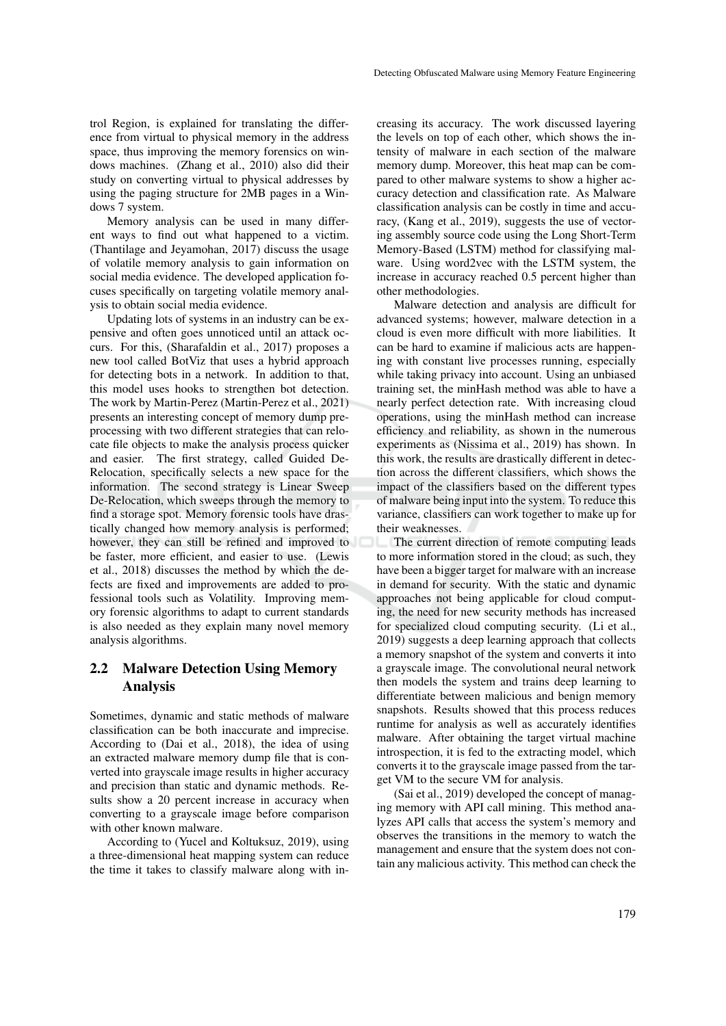trol Region, is explained for translating the difference from virtual to physical memory in the address space, thus improving the memory forensics on windows machines. (Zhang et al., 2010) also did their study on converting virtual to physical addresses by using the paging structure for 2MB pages in a Windows 7 system.

Memory analysis can be used in many different ways to find out what happened to a victim. (Thantilage and Jeyamohan, 2017) discuss the usage of volatile memory analysis to gain information on social media evidence. The developed application focuses specifically on targeting volatile memory analysis to obtain social media evidence.

Updating lots of systems in an industry can be expensive and often goes unnoticed until an attack occurs. For this, (Sharafaldin et al., 2017) proposes a new tool called BotViz that uses a hybrid approach for detecting bots in a network. In addition to that, this model uses hooks to strengthen bot detection. The work by Martin-Perez (Martin-Perez et al., 2021) presents an interesting concept of memory dump preprocessing with two different strategies that can relocate file objects to make the analysis process quicker and easier. The first strategy, called Guided De-Relocation, specifically selects a new space for the information. The second strategy is Linear Sweep De-Relocation, which sweeps through the memory to find a storage spot. Memory forensic tools have drastically changed how memory analysis is performed; however, they can still be refined and improved to be faster, more efficient, and easier to use. (Lewis et al., 2018) discusses the method by which the defects are fixed and improvements are added to professional tools such as Volatility. Improving memory forensic algorithms to adapt to current standards is also needed as they explain many novel memory analysis algorithms.

## 2.2 Malware Detection Using Memory Analysis

Sometimes, dynamic and static methods of malware classification can be both inaccurate and imprecise. According to (Dai et al., 2018), the idea of using an extracted malware memory dump file that is converted into grayscale image results in higher accuracy and precision than static and dynamic methods. Results show a 20 percent increase in accuracy when converting to a grayscale image before comparison with other known malware.

According to (Yucel and Koltuksuz, 2019), using a three-dimensional heat mapping system can reduce the time it takes to classify malware along with increasing its accuracy. The work discussed layering the levels on top of each other, which shows the intensity of malware in each section of the malware memory dump. Moreover, this heat map can be compared to other malware systems to show a higher accuracy detection and classification rate. As Malware classification analysis can be costly in time and accuracy, (Kang et al., 2019), suggests the use of vectoring assembly source code using the Long Short-Term Memory-Based (LSTM) method for classifying malware. Using word2vec with the LSTM system, the increase in accuracy reached 0.5 percent higher than other methodologies.

Malware detection and analysis are difficult for advanced systems; however, malware detection in a cloud is even more difficult with more liabilities. It can be hard to examine if malicious acts are happening with constant live processes running, especially while taking privacy into account. Using an unbiased training set, the minHash method was able to have a nearly perfect detection rate. With increasing cloud operations, using the minHash method can increase efficiency and reliability, as shown in the numerous experiments as (Nissima et al., 2019) has shown. In this work, the results are drastically different in detection across the different classifiers, which shows the impact of the classifiers based on the different types of malware being input into the system. To reduce this variance, classifiers can work together to make up for their weaknesses.

The current direction of remote computing leads to more information stored in the cloud; as such, they have been a bigger target for malware with an increase in demand for security. With the static and dynamic approaches not being applicable for cloud computing, the need for new security methods has increased for specialized cloud computing security. (Li et al., 2019) suggests a deep learning approach that collects a memory snapshot of the system and converts it into a grayscale image. The convolutional neural network then models the system and trains deep learning to differentiate between malicious and benign memory snapshots. Results showed that this process reduces runtime for analysis as well as accurately identifies malware. After obtaining the target virtual machine introspection, it is fed to the extracting model, which converts it to the grayscale image passed from the target VM to the secure VM for analysis.

(Sai et al., 2019) developed the concept of managing memory with API call mining. This method analyzes API calls that access the system's memory and observes the transitions in the memory to watch the management and ensure that the system does not contain any malicious activity. This method can check the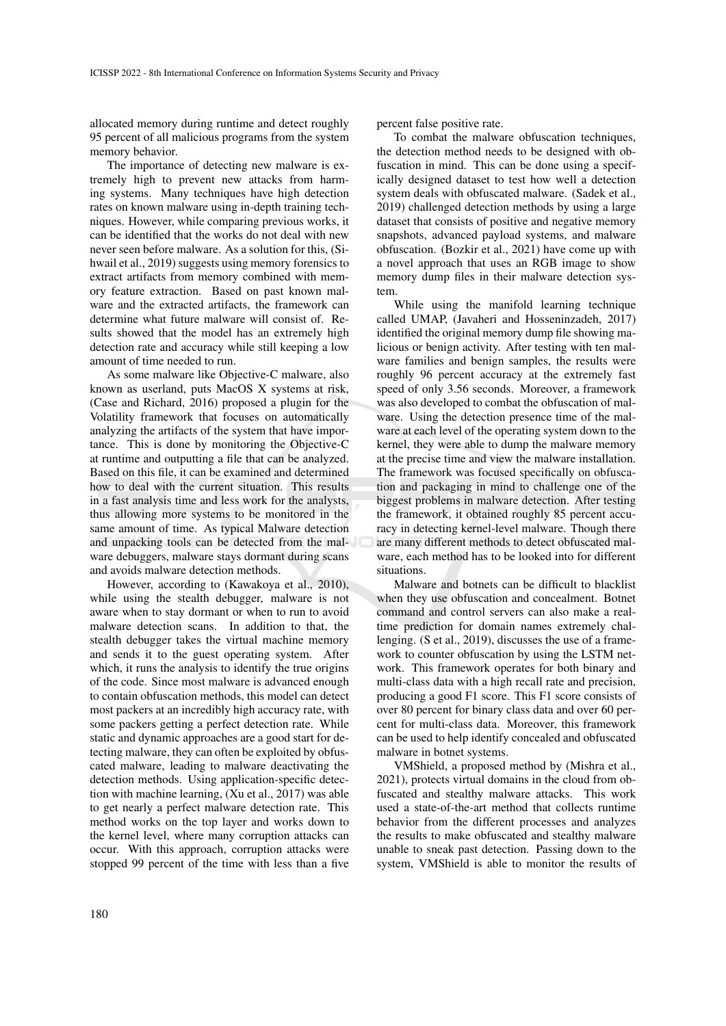allocated memory during runtime and detect roughly 95 percent of all malicious programs from the system memory behavior.

The importance of detecting new malware is extremely high to prevent new attacks from harming systems. Many techniques have high detection rates on known malware using in-depth training techniques. However, while comparing previous works, it can be identified that the works do not deal with new never seen before malware. As a solution for this, (Sihwail et al., 2019) suggests using memory forensics to extract artifacts from memory combined with memory feature extraction. Based on past known malware and the extracted artifacts, the framework can determine what future malware will consist of. Results showed that the model has an extremely high detection rate and accuracy while still keeping a low amount of time needed to run.

As some malware like Objective-C malware, also known as userland, puts MacOS X systems at risk, (Case and Richard, 2016) proposed a plugin for the Volatility framework that focuses on automatically analyzing the artifacts of the system that have importance. This is done by monitoring the Objective-C at runtime and outputting a file that can be analyzed. Based on this file, it can be examined and determined how to deal with the current situation. This results in a fast analysis time and less work for the analysts, thus allowing more systems to be monitored in the same amount of time. As typical Malware detection and unpacking tools can be detected from the malware debuggers, malware stays dormant during scans and avoids malware detection methods.

However, according to (Kawakoya et al., 2010), while using the stealth debugger, malware is not aware when to stay dormant or when to run to avoid malware detection scans. In addition to that, the stealth debugger takes the virtual machine memory and sends it to the guest operating system. After which, it runs the analysis to identify the true origins of the code. Since most malware is advanced enough to contain obfuscation methods, this model can detect most packers at an incredibly high accuracy rate, with some packers getting a perfect detection rate. While static and dynamic approaches are a good start for detecting malware, they can often be exploited by obfuscated malware, leading to malware deactivating the detection methods. Using application-specific detection with machine learning, (Xu et al., 2017) was able to get nearly a perfect malware detection rate. This method works on the top layer and works down to the kernel level, where many corruption attacks can occur. With this approach, corruption attacks were stopped 99 percent of the time with less than a five

percent false positive rate.

To combat the malware obfuscation techniques, the detection method needs to be designed with obfuscation in mind. This can be done using a specifically designed dataset to test how well a detection system deals with obfuscated malware. (Sadek et al., 2019) challenged detection methods by using a large dataset that consists of positive and negative memory snapshots, advanced payload systems, and malware obfuscation. (Bozkir et al., 2021) have come up with a novel approach that uses an RGB image to show memory dump files in their malware detection system.

While using the manifold learning technique called UMAP, (Javaheri and Hosseninzadeh, 2017) identified the original memory dump file showing malicious or benign activity. After testing with ten malware families and benign samples, the results were roughly 96 percent accuracy at the extremely fast speed of only 3.56 seconds. Moreover, a framework was also developed to combat the obfuscation of malware. Using the detection presence time of the malware at each level of the operating system down to the kernel, they were able to dump the malware memory at the precise time and view the malware installation. The framework was focused specifically on obfuscation and packaging in mind to challenge one of the biggest problems in malware detection. After testing the framework, it obtained roughly 85 percent accuracy in detecting kernel-level malware. Though there are many different methods to detect obfuscated malware, each method has to be looked into for different situations.

Malware and botnets can be difficult to blacklist when they use obfuscation and concealment. Botnet command and control servers can also make a realtime prediction for domain names extremely challenging. (S et al., 2019), discusses the use of a framework to counter obfuscation by using the LSTM network. This framework operates for both binary and multi-class data with a high recall rate and precision, producing a good F1 score. This F1 score consists of over 80 percent for binary class data and over 60 percent for multi-class data. Moreover, this framework can be used to help identify concealed and obfuscated malware in botnet systems.

VMShield, a proposed method by (Mishra et al., 2021), protects virtual domains in the cloud from obfuscated and stealthy malware attacks. This work used a state-of-the-art method that collects runtime behavior from the different processes and analyzes the results to make obfuscated and stealthy malware unable to sneak past detection. Passing down to the system, VMShield is able to monitor the results of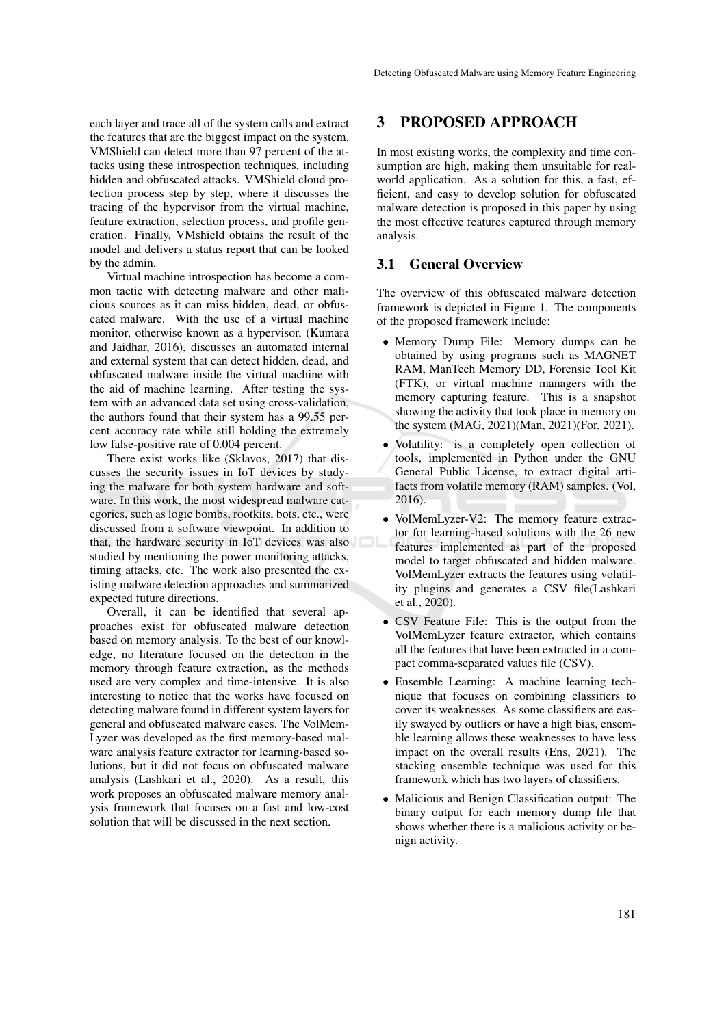each layer and trace all of the system calls and extract the features that are the biggest impact on the system. VMShield can detect more than 97 percent of the attacks using these introspection techniques, including hidden and obfuscated attacks. VMShield cloud protection process step by step, where it discusses the tracing of the hypervisor from the virtual machine, feature extraction, selection process, and profile generation. Finally, VMshield obtains the result of the model and delivers a status report that can be looked by the admin.

Virtual machine introspection has become a common tactic with detecting malware and other malicious sources as it can miss hidden, dead, or obfuscated malware. With the use of a virtual machine monitor, otherwise known as a hypervisor, (Kumara and Jaidhar, 2016), discusses an automated internal and external system that can detect hidden, dead, and obfuscated malware inside the virtual machine with the aid of machine learning. After testing the system with an advanced data set using cross-validation, the authors found that their system has a 99.55 percent accuracy rate while still holding the extremely low false-positive rate of 0.004 percent.

There exist works like (Sklavos, 2017) that discusses the security issues in IoT devices by studying the malware for both system hardware and software. In this work, the most widespread malware categories, such as logic bombs, rootkits, bots, etc., were discussed from a software viewpoint. In addition to that, the hardware security in IoT devices was also studied by mentioning the power monitoring attacks, timing attacks, etc. The work also presented the existing malware detection approaches and summarized expected future directions.

Overall, it can be identified that several approaches exist for obfuscated malware detection based on memory analysis. To the best of our knowledge, no literature focused on the detection in the memory through feature extraction, as the methods used are very complex and time-intensive. It is also interesting to notice that the works have focused on detecting malware found in different system layers for general and obfuscated malware cases. The VolMem-Lyzer was developed as the first memory-based malware analysis feature extractor for learning-based solutions, but it did not focus on obfuscated malware analysis (Lashkari et al., 2020). As a result, this work proposes an obfuscated malware memory analysis framework that focuses on a fast and low-cost solution that will be discussed in the next section.

### 3 PROPOSED APPROACH

In most existing works, the complexity and time consumption are high, making them unsuitable for realworld application. As a solution for this, a fast, efficient, and easy to develop solution for obfuscated malware detection is proposed in this paper by using the most effective features captured through memory analysis.

### 3.1 General Overview

The overview of this obfuscated malware detection framework is depicted in Figure 1. The components of the proposed framework include:

- Memory Dump File: Memory dumps can be obtained by using programs such as MAGNET RAM, ManTech Memory DD, Forensic Tool Kit (FTK), or virtual machine managers with the memory capturing feature. This is a snapshot showing the activity that took place in memory on the system (MAG, 2021)(Man, 2021)(For, 2021).
- Volatility: is a completely open collection of tools, implemented in Python under the GNU General Public License, to extract digital artifacts from volatile memory (RAM) samples. (Vol, 2016).
- VolMemLyzer-V2: The memory feature extractor for learning-based solutions with the 26 new features implemented as part of the proposed model to target obfuscated and hidden malware. VolMemLyzer extracts the features using volatility plugins and generates a CSV file(Lashkari et al., 2020).
- CSV Feature File: This is the output from the VolMemLyzer feature extractor, which contains all the features that have been extracted in a compact comma-separated values file (CSV).
- Ensemble Learning: A machine learning technique that focuses on combining classifiers to cover its weaknesses. As some classifiers are easily swayed by outliers or have a high bias, ensemble learning allows these weaknesses to have less impact on the overall results (Ens, 2021). The stacking ensemble technique was used for this framework which has two layers of classifiers.
- Malicious and Benign Classification output: The binary output for each memory dump file that shows whether there is a malicious activity or benign activity.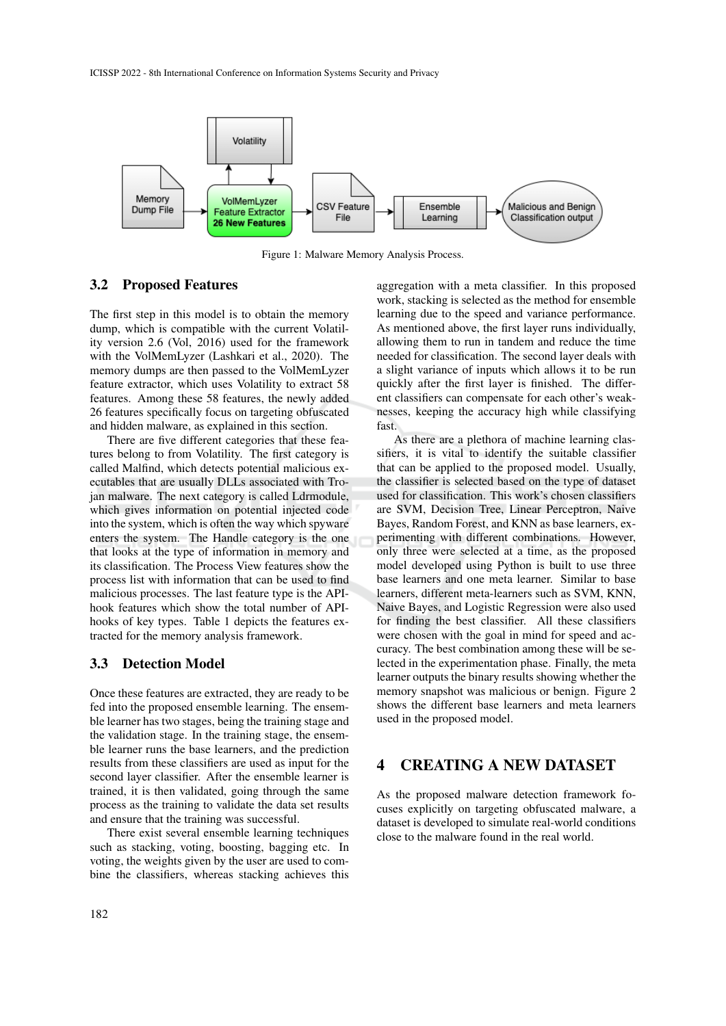

Figure 1: Malware Memory Analysis Process.

### 3.2 Proposed Features

The first step in this model is to obtain the memory dump, which is compatible with the current Volatility version 2.6 (Vol, 2016) used for the framework with the VolMemLyzer (Lashkari et al., 2020). The memory dumps are then passed to the VolMemLyzer feature extractor, which uses Volatility to extract 58 features. Among these 58 features, the newly added 26 features specifically focus on targeting obfuscated and hidden malware, as explained in this section.

There are five different categories that these features belong to from Volatility. The first category is called Malfind, which detects potential malicious executables that are usually DLLs associated with Trojan malware. The next category is called Ldrmodule, which gives information on potential injected code into the system, which is often the way which spyware enters the system. The Handle category is the one that looks at the type of information in memory and its classification. The Process View features show the process list with information that can be used to find malicious processes. The last feature type is the APIhook features which show the total number of APIhooks of key types. Table 1 depicts the features extracted for the memory analysis framework.

### 3.3 Detection Model

Once these features are extracted, they are ready to be fed into the proposed ensemble learning. The ensemble learner has two stages, being the training stage and the validation stage. In the training stage, the ensemble learner runs the base learners, and the prediction results from these classifiers are used as input for the second layer classifier. After the ensemble learner is trained, it is then validated, going through the same process as the training to validate the data set results and ensure that the training was successful.

There exist several ensemble learning techniques such as stacking, voting, boosting, bagging etc. In voting, the weights given by the user are used to combine the classifiers, whereas stacking achieves this

aggregation with a meta classifier. In this proposed work, stacking is selected as the method for ensemble learning due to the speed and variance performance. As mentioned above, the first layer runs individually, allowing them to run in tandem and reduce the time needed for classification. The second layer deals with a slight variance of inputs which allows it to be run quickly after the first layer is finished. The different classifiers can compensate for each other's weaknesses, keeping the accuracy high while classifying fast.

As there are a plethora of machine learning classifiers, it is vital to identify the suitable classifier that can be applied to the proposed model. Usually, the classifier is selected based on the type of dataset used for classification. This work's chosen classifiers are SVM, Decision Tree, Linear Perceptron, Naive Bayes, Random Forest, and KNN as base learners, experimenting with different combinations. However, only three were selected at a time, as the proposed model developed using Python is built to use three base learners and one meta learner. Similar to base learners, different meta-learners such as SVM, KNN, Naive Bayes, and Logistic Regression were also used for finding the best classifier. All these classifiers were chosen with the goal in mind for speed and accuracy. The best combination among these will be selected in the experimentation phase. Finally, the meta learner outputs the binary results showing whether the memory snapshot was malicious or benign. Figure 2 shows the different base learners and meta learners used in the proposed model.

## 4 CREATING A NEW DATASET

As the proposed malware detection framework focuses explicitly on targeting obfuscated malware, a dataset is developed to simulate real-world conditions close to the malware found in the real world.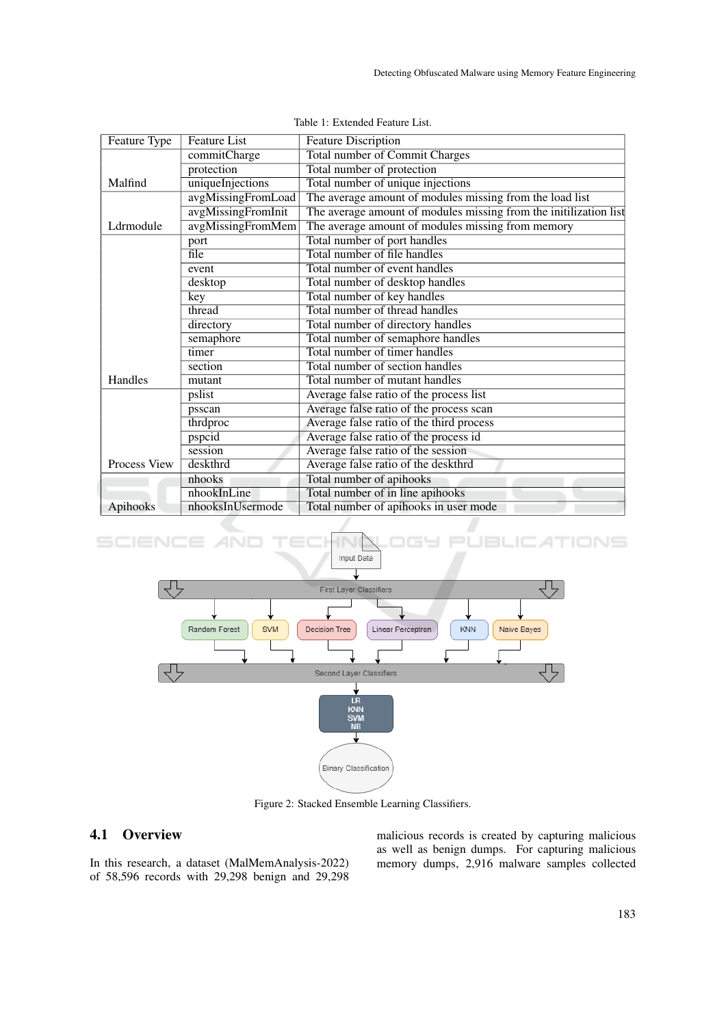| Feature Type        | <b>Feature List</b> | <b>Feature Discription</b>                                        |  |  |  |  |
|---------------------|---------------------|-------------------------------------------------------------------|--|--|--|--|
|                     | commitCharge        | <b>Total number of Commit Charges</b>                             |  |  |  |  |
|                     | protection          | Total number of protection                                        |  |  |  |  |
| Malfind             | uniqueInjections    | Total number of unique injections                                 |  |  |  |  |
|                     | avgMissingFromLoad  | The average amount of modules missing from the load list          |  |  |  |  |
|                     | avgMissingFromInit  | The average amount of modules missing from the initilization list |  |  |  |  |
| Ldrmodule           | avgMissingFromMem   | The average amount of modules missing from memory                 |  |  |  |  |
|                     | port                | Total number of port handles                                      |  |  |  |  |
|                     | file                | Total number of file handles                                      |  |  |  |  |
|                     | event               | Total number of event handles                                     |  |  |  |  |
|                     | desktop             | Total number of desktop handles                                   |  |  |  |  |
|                     | key                 | Total number of key handles                                       |  |  |  |  |
|                     | thread              | Total number of thread handles                                    |  |  |  |  |
|                     | directory           | Total number of directory handles                                 |  |  |  |  |
|                     | semaphore           | Total number of semaphore handles                                 |  |  |  |  |
|                     | timer               | Total number of timer handles                                     |  |  |  |  |
|                     | section             | Total number of section handles                                   |  |  |  |  |
| Handles             | mutant              | Total number of mutant handles                                    |  |  |  |  |
|                     | pslist              | Average false ratio of the process list                           |  |  |  |  |
|                     | psscan              | Average false ratio of the process scan                           |  |  |  |  |
|                     | thrdproc            | Average false ratio of the third process                          |  |  |  |  |
|                     | pspcid              | Average false ratio of the process id                             |  |  |  |  |
|                     | session             | Average false ratio of the session                                |  |  |  |  |
| <b>Process View</b> | deskthrd            | Average false ratio of the deskthrd                               |  |  |  |  |
|                     | nhooks              | Total number of apihooks                                          |  |  |  |  |
|                     | nhookInLine         | Total number of in line apihooks                                  |  |  |  |  |
| Apihooks            | nhooksInUsermode    | Total number of apihooks in user mode                             |  |  |  |  |

#### IONS SCIENO Input Data



Figure 2: Stacked Ensemble Learning Classifiers.

# 4.1 Overview

In this research, a dataset (MalMemAnalysis-2022) of 58,596 records with 29,298 benign and 29,298 malicious records is created by capturing malicious as well as benign dumps. For capturing malicious memory dumps, 2,916 malware samples collected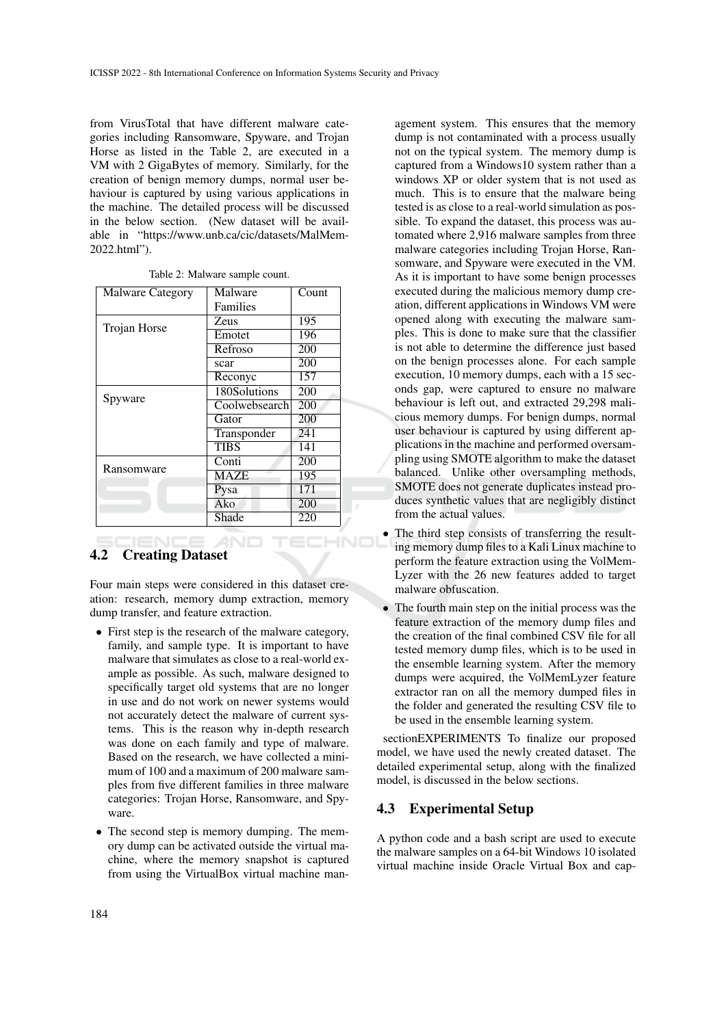from VirusTotal that have different malware categories including Ransomware, Spyware, and Trojan Horse as listed in the Table 2, are executed in a VM with 2 GigaBytes of memory. Similarly, for the creation of benign memory dumps, normal user behaviour is captured by using various applications in the machine. The detailed process will be discussed in the below section. (New dataset will be available in "https://www.unb.ca/cic/datasets/MalMem-2022.html").

| <b>Malware Category</b> | Malware       | Count |
|-------------------------|---------------|-------|
|                         | Families      |       |
| Trojan Horse            | Zeus          | 195   |
|                         | Emotet        | 196   |
|                         | Refroso       | 200   |
|                         | scar          | 200   |
|                         | Reconyc       | 157   |
| Spyware                 | 180Solutions  | 200   |
|                         | Coolwebsearch | 200   |
|                         | Gator         | 200   |
|                         | Transponder   | 241   |
|                         | <b>TIBS</b>   | 141   |
| Ransomware              | Conti         | 200   |
|                         | <b>MAZE</b>   | 195   |
|                         | Pysa          | 171   |
|                         | Ako           | 200   |
|                         | Shade         | 220   |

| Table 2: Malware sample count. |  |  |  |
|--------------------------------|--|--|--|
|--------------------------------|--|--|--|

#### 4.2 Creating Dataset

Four main steps were considered in this dataset creation: research, memory dump extraction, memory dump transfer, and feature extraction.

- First step is the research of the malware category, family, and sample type. It is important to have malware that simulates as close to a real-world example as possible. As such, malware designed to specifically target old systems that are no longer in use and do not work on newer systems would not accurately detect the malware of current systems. This is the reason why in-depth research was done on each family and type of malware. Based on the research, we have collected a minimum of 100 and a maximum of 200 malware samples from five different families in three malware categories: Trojan Horse, Ransomware, and Spyware.
- The second step is memory dumping. The memory dump can be activated outside the virtual machine, where the memory snapshot is captured from using the VirtualBox virtual machine man-

agement system. This ensures that the memory dump is not contaminated with a process usually not on the typical system. The memory dump is captured from a Windows10 system rather than a windows XP or older system that is not used as much. This is to ensure that the malware being tested is as close to a real-world simulation as possible. To expand the dataset, this process was automated where 2,916 malware samples from three malware categories including Trojan Horse, Ransomware, and Spyware were executed in the VM. As it is important to have some benign processes executed during the malicious memory dump creation, different applications in Windows VM were opened along with executing the malware samples. This is done to make sure that the classifier is not able to determine the difference just based on the benign processes alone. For each sample execution, 10 memory dumps, each with a 15 seconds gap, were captured to ensure no malware behaviour is left out, and extracted 29,298 malicious memory dumps. For benign dumps, normal user behaviour is captured by using different applications in the machine and performed oversampling using SMOTE algorithm to make the dataset balanced. Unlike other oversampling methods, SMOTE does not generate duplicates instead produces synthetic values that are negligibly distinct from the actual values.

- The third step consists of transferring the resulting memory dump files to a Kali Linux machine to perform the feature extraction using the VolMem-Lyzer with the 26 new features added to target malware obfuscation.
- The fourth main step on the initial process was the feature extraction of the memory dump files and the creation of the final combined CSV file for all tested memory dump files, which is to be used in the ensemble learning system. After the memory dumps were acquired, the VolMemLyzer feature extractor ran on all the memory dumped files in the folder and generated the resulting CSV file to be used in the ensemble learning system.

sectionEXPERIMENTS To finalize our proposed model, we have used the newly created dataset. The detailed experimental setup, along with the finalized model, is discussed in the below sections.

### 4.3 Experimental Setup

A python code and a bash script are used to execute the malware samples on a 64-bit Windows 10 isolated virtual machine inside Oracle Virtual Box and cap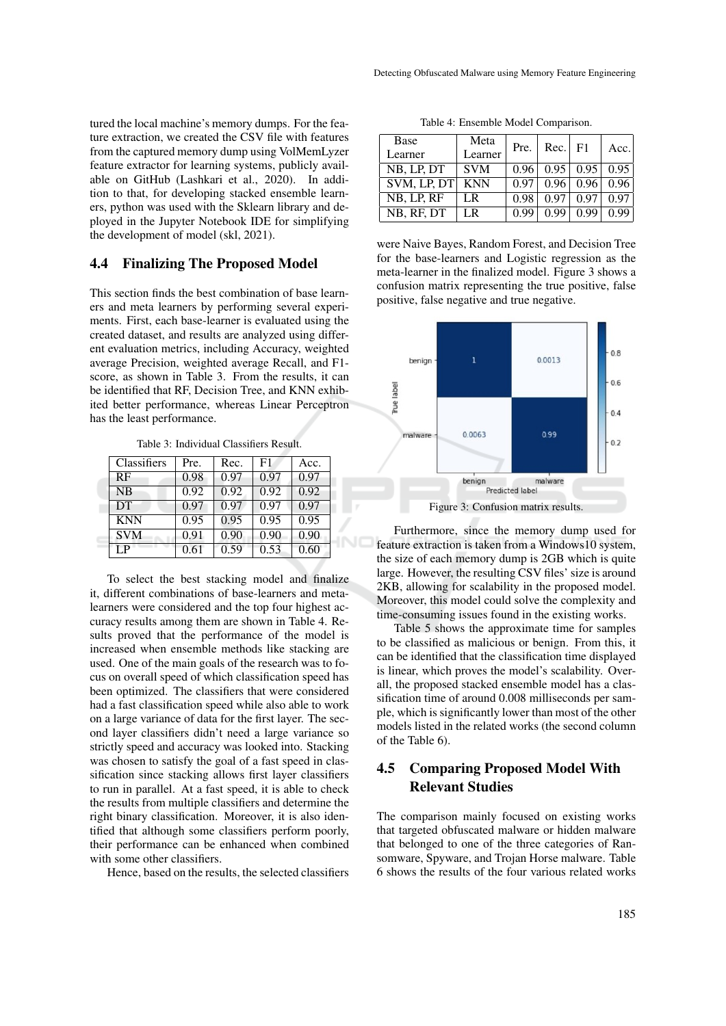tured the local machine's memory dumps. For the feature extraction, we created the CSV file with features from the captured memory dump using VolMemLyzer feature extractor for learning systems, publicly available on GitHub (Lashkari et al., 2020). In addition to that, for developing stacked ensemble learners, python was used with the Sklearn library and deployed in the Jupyter Notebook IDE for simplifying the development of model (skl, 2021).

### 4.4 Finalizing The Proposed Model

This section finds the best combination of base learners and meta learners by performing several experiments. First, each base-learner is evaluated using the created dataset, and results are analyzed using different evaluation metrics, including Accuracy, weighted average Precision, weighted average Recall, and F1 score, as shown in Table 3. From the results, it can be identified that RF, Decision Tree, and KNN exhibited better performance, whereas Linear Perceptron has the least performance.

Table 3: Individual Classifiers Result.

| Classifiers    | Pre. | Rec. | F1   | Acc. |
|----------------|------|------|------|------|
| RF             | 0.98 | 0.97 | 0.97 | 0.97 |
| <b>NB</b>      | 0.92 | 0.92 | 0.92 | 0.92 |
| DT             | 0.97 | 0.97 | 0.97 | 0.97 |
| <b>KNN</b>     | 0.95 | 0.95 | 0.95 | 0.95 |
| <b>SVM</b>     | 0.91 | 0.90 | 0.90 | 0.90 |
| L <sub>P</sub> | 0.61 | 0.59 | 0.53 | 0.60 |

To select the best stacking model and finalize it, different combinations of base-learners and metalearners were considered and the top four highest accuracy results among them are shown in Table 4. Results proved that the performance of the model is increased when ensemble methods like stacking are used. One of the main goals of the research was to focus on overall speed of which classification speed has been optimized. The classifiers that were considered had a fast classification speed while also able to work on a large variance of data for the first layer. The second layer classifiers didn't need a large variance so strictly speed and accuracy was looked into. Stacking was chosen to satisfy the goal of a fast speed in classification since stacking allows first layer classifiers to run in parallel. At a fast speed, it is able to check the results from multiple classifiers and determine the right binary classification. Moreover, it is also identified that although some classifiers perform poorly, their performance can be enhanced when combined with some other classifiers.

Hence, based on the results, the selected classifiers

Table 4: Ensemble Model Comparison.

| Base<br>Learner | Meta<br>Learner | Pre. | $Rec.$ F1 |      | Acc. |
|-----------------|-----------------|------|-----------|------|------|
| NB, LP, DT      | <b>SVM</b>      | 0.96 | 0.95      | 0.95 | 0.95 |
| SVM. LP. DT     | <b>KNN</b>      | 0.97 | 0.96      | 0.96 | 0.96 |
| NB, LP, RF      | I R             | 0.98 | 0.97      | 0.97 | 0.97 |
| NB, RF, DT      | I R             | 0.99 | 0.99      | 0.99 | 0.99 |

were Naive Bayes, Random Forest, and Decision Tree for the base-learners and Logistic regression as the meta-learner in the finalized model. Figure 3 shows a confusion matrix representing the true positive, false positive, false negative and true negative.



Furthermore, since the memory dump used for feature extraction is taken from a Windows10 system, the size of each memory dump is 2GB which is quite large. However, the resulting CSV files' size is around 2KB, allowing for scalability in the proposed model. Moreover, this model could solve the complexity and time-consuming issues found in the existing works.

Table 5 shows the approximate time for samples to be classified as malicious or benign. From this, it can be identified that the classification time displayed is linear, which proves the model's scalability. Overall, the proposed stacked ensemble model has a classification time of around 0.008 milliseconds per sample, which is significantly lower than most of the other models listed in the related works (the second column of the Table 6).

# 4.5 Comparing Proposed Model With Relevant Studies

The comparison mainly focused on existing works that targeted obfuscated malware or hidden malware that belonged to one of the three categories of Ransomware, Spyware, and Trojan Horse malware. Table 6 shows the results of the four various related works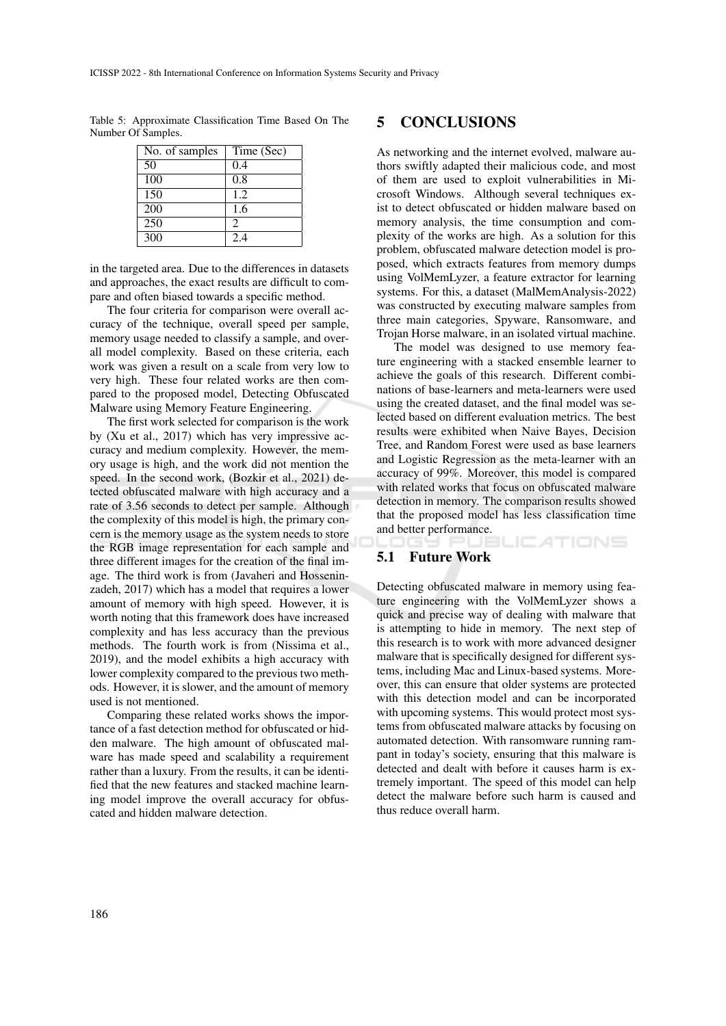Table 5: Approximate Classification Time Based On The Number Of Samples.

| No. of samples   | Time (Sec)     |
|------------------|----------------|
| 50               | 0.4            |
| 100              | 0.8            |
| 150              | 1.2            |
| 200              | 1.6            |
| 250              | $\mathfrak{D}$ |
| $\overline{300}$ | 2.4            |

in the targeted area. Due to the differences in datasets and approaches, the exact results are difficult to compare and often biased towards a specific method.

The four criteria for comparison were overall accuracy of the technique, overall speed per sample, memory usage needed to classify a sample, and overall model complexity. Based on these criteria, each work was given a result on a scale from very low to very high. These four related works are then compared to the proposed model, Detecting Obfuscated Malware using Memory Feature Engineering.

The first work selected for comparison is the work by (Xu et al., 2017) which has very impressive accuracy and medium complexity. However, the memory usage is high, and the work did not mention the speed. In the second work, (Bozkir et al., 2021) detected obfuscated malware with high accuracy and a rate of 3.56 seconds to detect per sample. Although the complexity of this model is high, the primary concern is the memory usage as the system needs to store the RGB image representation for each sample and three different images for the creation of the final image. The third work is from (Javaheri and Hosseninzadeh, 2017) which has a model that requires a lower amount of memory with high speed. However, it is worth noting that this framework does have increased complexity and has less accuracy than the previous methods. The fourth work is from (Nissima et al., 2019), and the model exhibits a high accuracy with lower complexity compared to the previous two methods. However, it is slower, and the amount of memory used is not mentioned.

Comparing these related works shows the importance of a fast detection method for obfuscated or hidden malware. The high amount of obfuscated malware has made speed and scalability a requirement rather than a luxury. From the results, it can be identified that the new features and stacked machine learning model improve the overall accuracy for obfuscated and hidden malware detection.

## 5 CONCLUSIONS

As networking and the internet evolved, malware authors swiftly adapted their malicious code, and most of them are used to exploit vulnerabilities in Microsoft Windows. Although several techniques exist to detect obfuscated or hidden malware based on memory analysis, the time consumption and complexity of the works are high. As a solution for this problem, obfuscated malware detection model is proposed, which extracts features from memory dumps using VolMemLyzer, a feature extractor for learning systems. For this, a dataset (MalMemAnalysis-2022) was constructed by executing malware samples from three main categories, Spyware, Ransomware, and Trojan Horse malware, in an isolated virtual machine.

The model was designed to use memory feature engineering with a stacked ensemble learner to achieve the goals of this research. Different combinations of base-learners and meta-learners were used using the created dataset, and the final model was selected based on different evaluation metrics. The best results were exhibited when Naive Bayes, Decision Tree, and Random Forest were used as base learners and Logistic Regression as the meta-learner with an accuracy of 99%. Moreover, this model is compared with related works that focus on obfuscated malware detection in memory. The comparison results showed that the proposed model has less classification time and better performance. Y PUBLIC ATIONS

### 5.1 Future Work

Detecting obfuscated malware in memory using feature engineering with the VolMemLyzer shows a quick and precise way of dealing with malware that is attempting to hide in memory. The next step of this research is to work with more advanced designer malware that is specifically designed for different systems, including Mac and Linux-based systems. Moreover, this can ensure that older systems are protected with this detection model and can be incorporated with upcoming systems. This would protect most systems from obfuscated malware attacks by focusing on automated detection. With ransomware running rampant in today's society, ensuring that this malware is detected and dealt with before it causes harm is extremely important. The speed of this model can help detect the malware before such harm is caused and thus reduce overall harm.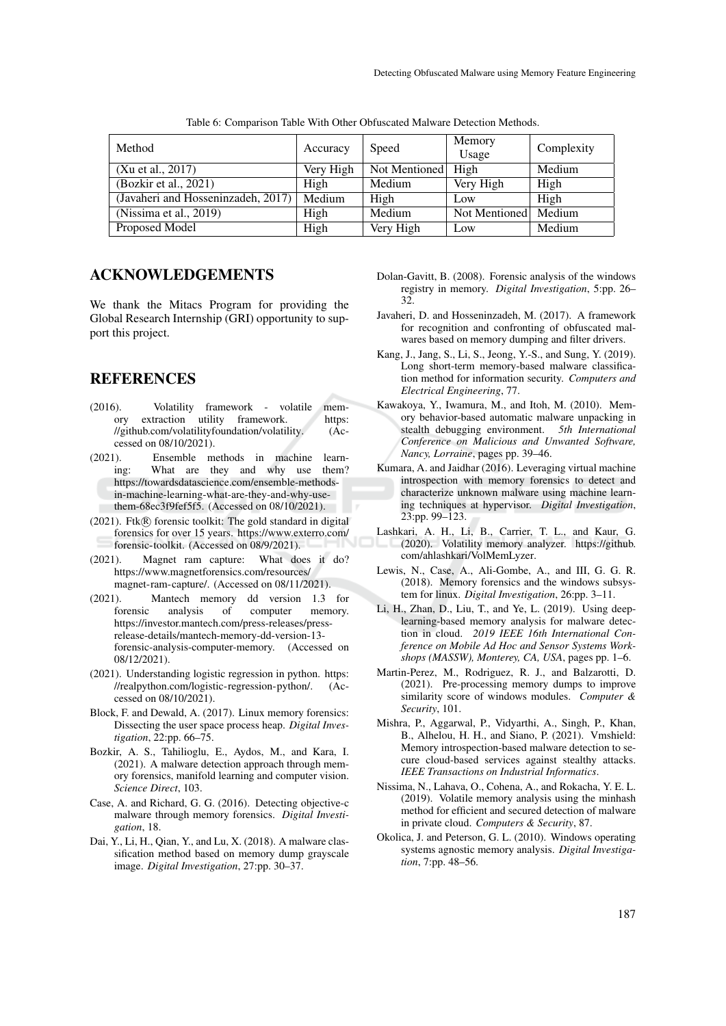| Method                                | Accuracy  | Speed         | Memory<br>Usage        | Complexity |
|---------------------------------------|-----------|---------------|------------------------|------------|
| (Xu et al., 2017)                     | Very High | Not Mentioned | High                   | Medium     |
| (Bozkir et al., 2021)                 | High      | <b>Medium</b> | Very High              | High       |
| (Javaheri and Hosseninzadeh, $2017$ ) | Medium    | High          | Low                    | High       |
| (Nissima et al., 2019)                | High      | Medium        | Not Mentioned   Medium |            |
| Proposed Model                        | High      | Very High     | Low                    | Medium     |

Table 6: Comparison Table With Other Obfuscated Malware Detection Methods.

# ACKNOWLEDGEMENTS

We thank the Mitacs Program for providing the Global Research Internship (GRI) opportunity to support this project.

### REFERENCES

- (2016). Volatility framework volatile memory extraction utility framework. https:<br>//github.com/volatilityfoundation/volatility. (Ac-//github.com/volatilityfoundation/volatility. cessed on 08/10/2021).
- (2021). Ensemble methods in machine learning: What are they and why use them? https://towardsdatascience.com/ensemble-methodsin-machine-learning-what-are-they-and-why-usethem-68ec3f9fef5f5. (Accessed on 08/10/2021).
- $(2021)$ . Ftk $(R)$  forensic toolkit: The gold standard in digital forensics for over 15 years. https://www.exterro.com/ forensic-toolkit. (Accessed on 08/9/2021).
- (2021). Magnet ram capture: What does it do? https://www.magnetforensics.com/resources/ magnet-ram-capture/. (Accessed on 08/11/2021).
- (2021). Mantech memory dd version 1.3 for forensic analysis of computer memory. https://investor.mantech.com/press-releases/pressrelease-details/mantech-memory-dd-version-13 forensic-analysis-computer-memory. (Accessed on 08/12/2021).
- (2021). Understanding logistic regression in python. https: //realpython.com/logistic-regression-python/. (Accessed on 08/10/2021).
- Block, F. and Dewald, A. (2017). Linux memory forensics: Dissecting the user space process heap. *Digital Investigation*, 22:pp. 66–75.
- Bozkir, A. S., Tahilioglu, E., Aydos, M., and Kara, I. (2021). A malware detection approach through memory forensics, manifold learning and computer vision. *Science Direct*, 103.
- Case, A. and Richard, G. G. (2016). Detecting objective-c malware through memory forensics. *Digital Investigation*, 18.
- Dai, Y., Li, H., Qian, Y., and Lu, X. (2018). A malware classification method based on memory dump grayscale image. *Digital Investigation*, 27:pp. 30–37.
- Dolan-Gavitt, B. (2008). Forensic analysis of the windows registry in memory. *Digital Investigation*, 5:pp. 26– 32.
- Javaheri, D. and Hosseninzadeh, M. (2017). A framework for recognition and confronting of obfuscated malwares based on memory dumping and filter drivers.
- Kang, J., Jang, S., Li, S., Jeong, Y.-S., and Sung, Y. (2019). Long short-term memory-based malware classification method for information security. *Computers and Electrical Engineering*, 77.
- Kawakoya, Y., Iwamura, M., and Itoh, M. (2010). Memory behavior-based automatic malware unpacking in stealth debugging environment. *5th International Conference on Malicious and Unwanted Software, Nancy, Lorraine*, pages pp. 39–46.
- Kumara, A. and Jaidhar (2016). Leveraging virtual machine introspection with memory forensics to detect and characterize unknown malware using machine learning techniques at hypervisor. *Digital Investigation*, 23:pp. 99–123.
- Lashkari, A. H., Li, B., Carrier, T. L., and Kaur, G. (2020). Volatility memory analyzer. https://github. com/ahlashkari/VolMemLyzer.
- Lewis, N., Case, A., Ali-Gombe, A., and III, G. G. R. (2018). Memory forensics and the windows subsystem for linux. *Digital Investigation*, 26:pp. 3–11.
- Li, H., Zhan, D., Liu, T., and Ye, L. (2019). Using deeplearning-based memory analysis for malware detection in cloud. *2019 IEEE 16th International Conference on Mobile Ad Hoc and Sensor Systems Workshops (MASSW), Monterey, CA, USA*, pages pp. 1–6.
- Martin-Perez, M., Rodriguez, R. J., and Balzarotti, D. (2021). Pre-processing memory dumps to improve similarity score of windows modules. *Computer & Security*, 101.
- Mishra, P., Aggarwal, P., Vidyarthi, A., Singh, P., Khan, B., Alhelou, H. H., and Siano, P. (2021). Vmshield: Memory introspection-based malware detection to secure cloud-based services against stealthy attacks. *IEEE Transactions on Industrial Informatics*.
- Nissima, N., Lahava, O., Cohena, A., and Rokacha, Y. E. L. (2019). Volatile memory analysis using the minhash method for efficient and secured detection of malware in private cloud. *Computers & Security*, 87.
- Okolica, J. and Peterson, G. L. (2010). Windows operating systems agnostic memory analysis. *Digital Investigation*, 7:pp. 48–56.